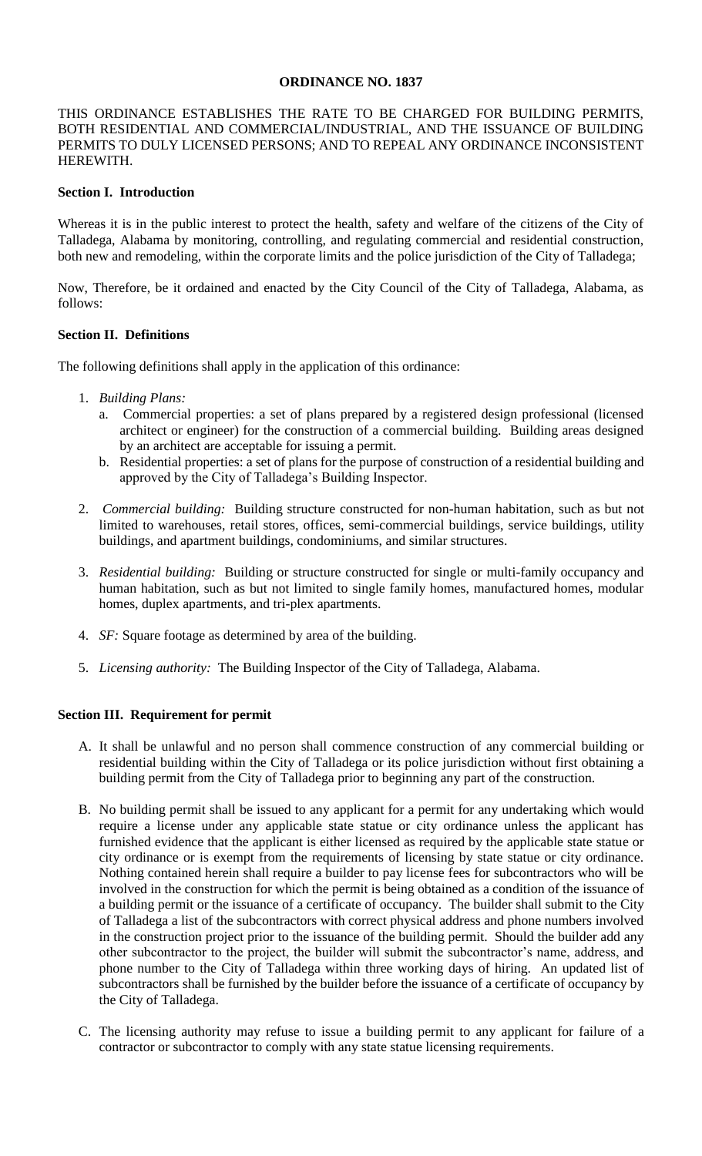#### **ORDINANCE NO. 1837**

THIS ORDINANCE ESTABLISHES THE RATE TO BE CHARGED FOR BUILDING PERMITS, BOTH RESIDENTIAL AND COMMERCIAL/INDUSTRIAL, AND THE ISSUANCE OF BUILDING PERMITS TO DULY LICENSED PERSONS; AND TO REPEAL ANY ORDINANCE INCONSISTENT HEREWITH.

#### **Section I. Introduction**

Whereas it is in the public interest to protect the health, safety and welfare of the citizens of the City of Talladega, Alabama by monitoring, controlling, and regulating commercial and residential construction, both new and remodeling, within the corporate limits and the police jurisdiction of the City of Talladega;

Now, Therefore, be it ordained and enacted by the City Council of the City of Talladega, Alabama, as follows:

### **Section II. Definitions**

The following definitions shall apply in the application of this ordinance:

- 1. *Building Plans:*
	- a. Commercial properties: a set of plans prepared by a registered design professional (licensed architect or engineer) for the construction of a commercial building. Building areas designed by an architect are acceptable for issuing a permit.
	- b. Residential properties: a set of plans for the purpose of construction of a residential building and approved by the City of Talladega's Building Inspector.
- 2. *Commercial building:* Building structure constructed for non-human habitation, such as but not limited to warehouses, retail stores, offices, semi-commercial buildings, service buildings, utility buildings, and apartment buildings, condominiums, and similar structures.
- 3. *Residential building:* Building or structure constructed for single or multi-family occupancy and human habitation, such as but not limited to single family homes, manufactured homes, modular homes, duplex apartments, and tri-plex apartments.
- 4. *SF:* Square footage as determined by area of the building.
- 5. *Licensing authority:* The Building Inspector of the City of Talladega, Alabama.

### **Section III. Requirement for permit**

- A. It shall be unlawful and no person shall commence construction of any commercial building or residential building within the City of Talladega or its police jurisdiction without first obtaining a building permit from the City of Talladega prior to beginning any part of the construction.
- B. No building permit shall be issued to any applicant for a permit for any undertaking which would require a license under any applicable state statue or city ordinance unless the applicant has furnished evidence that the applicant is either licensed as required by the applicable state statue or city ordinance or is exempt from the requirements of licensing by state statue or city ordinance. Nothing contained herein shall require a builder to pay license fees for subcontractors who will be involved in the construction for which the permit is being obtained as a condition of the issuance of a building permit or the issuance of a certificate of occupancy. The builder shall submit to the City of Talladega a list of the subcontractors with correct physical address and phone numbers involved in the construction project prior to the issuance of the building permit. Should the builder add any other subcontractor to the project, the builder will submit the subcontractor's name, address, and phone number to the City of Talladega within three working days of hiring. An updated list of subcontractors shall be furnished by the builder before the issuance of a certificate of occupancy by the City of Talladega.
- C. The licensing authority may refuse to issue a building permit to any applicant for failure of a contractor or subcontractor to comply with any state statue licensing requirements.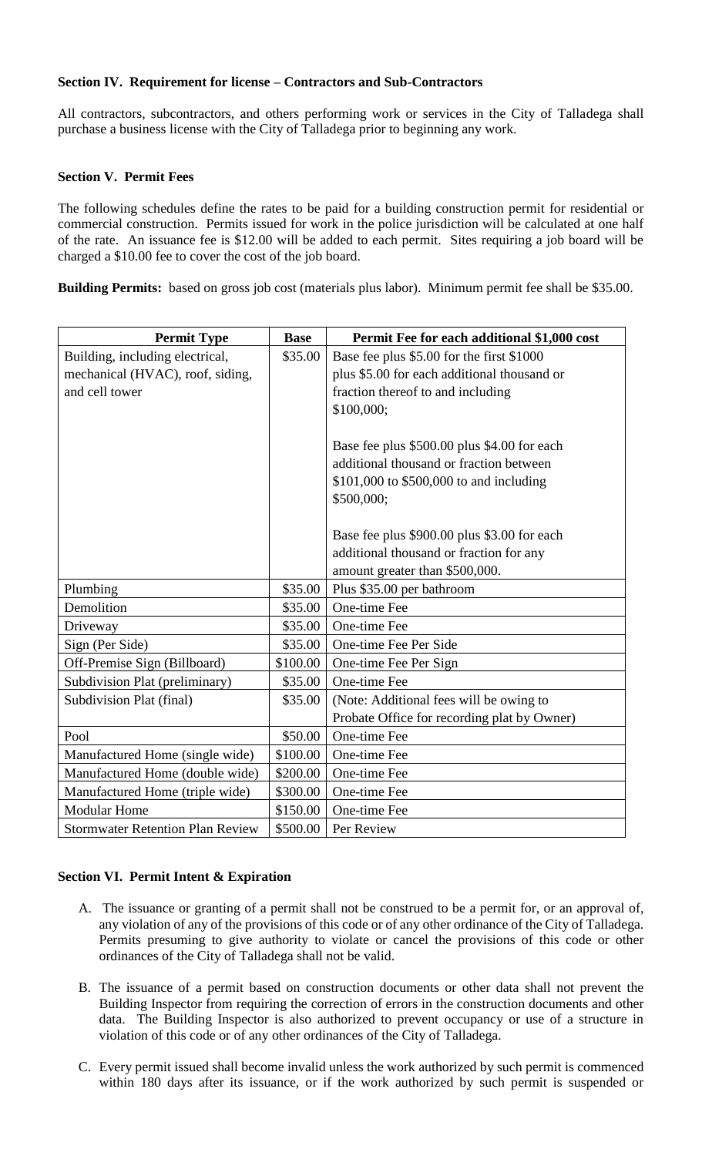### **Section IV. Requirement for license – Contractors and Sub-Contractors**

All contractors, subcontractors, and others performing work or services in the City of Talladega shall purchase a business license with the City of Talladega prior to beginning any work.

# **Section V. Permit Fees**

The following schedules define the rates to be paid for a building construction permit for residential or commercial construction. Permits issued for work in the police jurisdiction will be calculated at one half of the rate. An issuance fee is \$12.00 will be added to each permit. Sites requiring a job board will be charged a \$10.00 fee to cover the cost of the job board.

**Building Permits:** based on gross job cost (materials plus labor). Minimum permit fee shall be \$35.00.

| <b>Permit Type</b>                      | <b>Base</b> | Permit Fee for each additional \$1,000 cost |
|-----------------------------------------|-------------|---------------------------------------------|
| Building, including electrical,         | \$35.00     | Base fee plus \$5.00 for the first \$1000   |
| mechanical (HVAC), roof, siding,        |             | plus \$5.00 for each additional thousand or |
| and cell tower                          |             | fraction thereof to and including           |
|                                         |             | \$100,000;                                  |
|                                         |             |                                             |
|                                         |             | Base fee plus \$500.00 plus \$4.00 for each |
|                                         |             | additional thousand or fraction between     |
|                                         |             | \$101,000 to \$500,000 to and including     |
|                                         |             | \$500,000;                                  |
|                                         |             |                                             |
|                                         |             | Base fee plus \$900.00 plus \$3.00 for each |
|                                         |             | additional thousand or fraction for any     |
|                                         |             | amount greater than \$500,000.              |
| Plumbing                                | \$35.00     | Plus \$35.00 per bathroom                   |
| Demolition                              | \$35.00     | One-time Fee                                |
| Driveway                                | \$35.00     | One-time Fee                                |
| Sign (Per Side)                         | \$35.00     | One-time Fee Per Side                       |
| Off-Premise Sign (Billboard)            | \$100.00    | One-time Fee Per Sign                       |
| Subdivision Plat (preliminary)          | \$35.00     | One-time Fee                                |
| Subdivision Plat (final)                | \$35.00     | (Note: Additional fees will be owing to     |
|                                         |             | Probate Office for recording plat by Owner) |
| Pool                                    | \$50.00     | One-time Fee                                |
| Manufactured Home (single wide)         | \$100.00    | One-time Fee                                |
| Manufactured Home (double wide)         | \$200.00    | One-time Fee                                |
| Manufactured Home (triple wide)         | \$300.00    | One-time Fee                                |
| <b>Modular Home</b>                     | \$150.00    | One-time Fee                                |
| <b>Stormwater Retention Plan Review</b> | \$500.00    | Per Review                                  |

# **Section VI. Permit Intent & Expiration**

- A. The issuance or granting of a permit shall not be construed to be a permit for, or an approval of, any violation of any of the provisions of this code or of any other ordinance of the City of Talladega. Permits presuming to give authority to violate or cancel the provisions of this code or other ordinances of the City of Talladega shall not be valid.
- B. The issuance of a permit based on construction documents or other data shall not prevent the Building Inspector from requiring the correction of errors in the construction documents and other data. The Building Inspector is also authorized to prevent occupancy or use of a structure in violation of this code or of any other ordinances of the City of Talladega.
- C. Every permit issued shall become invalid unless the work authorized by such permit is commenced within 180 days after its issuance, or if the work authorized by such permit is suspended or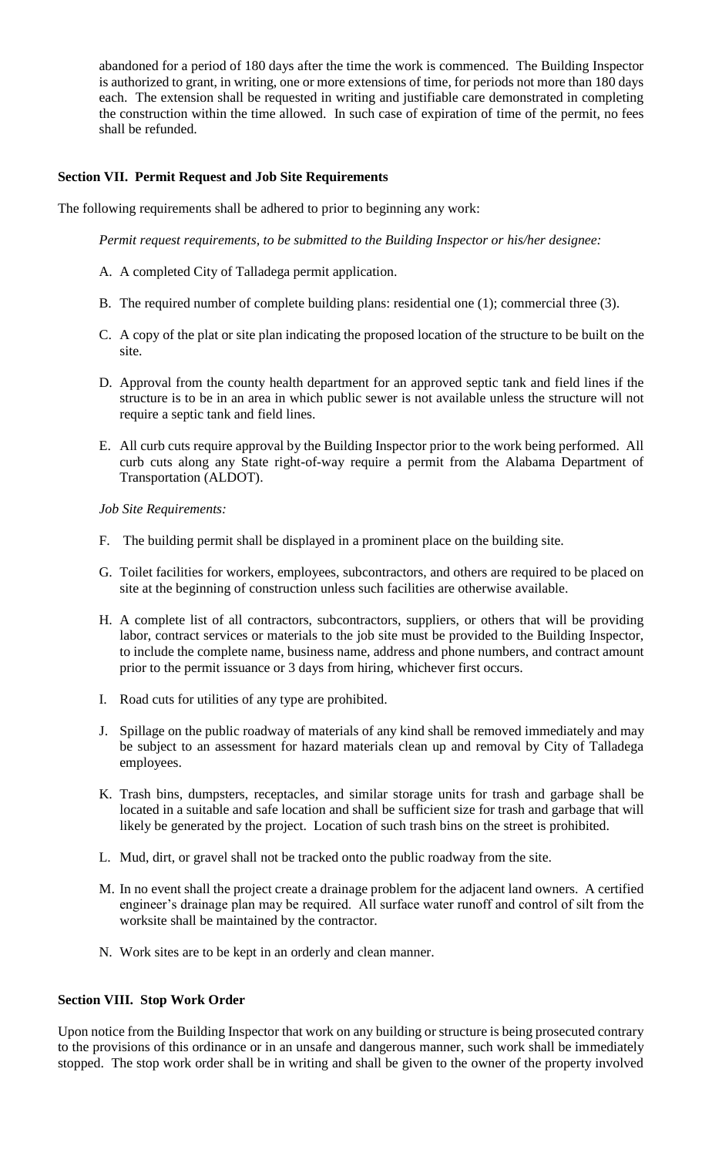abandoned for a period of 180 days after the time the work is commenced. The Building Inspector is authorized to grant, in writing, one or more extensions of time, for periods not more than 180 days each. The extension shall be requested in writing and justifiable care demonstrated in completing the construction within the time allowed. In such case of expiration of time of the permit, no fees shall be refunded.

## **Section VII. Permit Request and Job Site Requirements**

The following requirements shall be adhered to prior to beginning any work:

*Permit request requirements, to be submitted to the Building Inspector or his/her designee:*

- A. A completed City of Talladega permit application.
- B. The required number of complete building plans: residential one (1); commercial three (3).
- C. A copy of the plat or site plan indicating the proposed location of the structure to be built on the site.
- D. Approval from the county health department for an approved septic tank and field lines if the structure is to be in an area in which public sewer is not available unless the structure will not require a septic tank and field lines.
- E. All curb cuts require approval by the Building Inspector prior to the work being performed. All curb cuts along any State right-of-way require a permit from the Alabama Department of Transportation (ALDOT).

*Job Site Requirements:*

- F. The building permit shall be displayed in a prominent place on the building site.
- G. Toilet facilities for workers, employees, subcontractors, and others are required to be placed on site at the beginning of construction unless such facilities are otherwise available.
- H. A complete list of all contractors, subcontractors, suppliers, or others that will be providing labor, contract services or materials to the job site must be provided to the Building Inspector, to include the complete name, business name, address and phone numbers, and contract amount prior to the permit issuance or 3 days from hiring, whichever first occurs.
- I. Road cuts for utilities of any type are prohibited.
- J. Spillage on the public roadway of materials of any kind shall be removed immediately and may be subject to an assessment for hazard materials clean up and removal by City of Talladega employees.
- K. Trash bins, dumpsters, receptacles, and similar storage units for trash and garbage shall be located in a suitable and safe location and shall be sufficient size for trash and garbage that will likely be generated by the project. Location of such trash bins on the street is prohibited.
- L. Mud, dirt, or gravel shall not be tracked onto the public roadway from the site.
- M. In no event shall the project create a drainage problem for the adjacent land owners. A certified engineer's drainage plan may be required. All surface water runoff and control of silt from the worksite shall be maintained by the contractor.
- N. Work sites are to be kept in an orderly and clean manner.

#### **Section VIII. Stop Work Order**

Upon notice from the Building Inspector that work on any building or structure is being prosecuted contrary to the provisions of this ordinance or in an unsafe and dangerous manner, such work shall be immediately stopped. The stop work order shall be in writing and shall be given to the owner of the property involved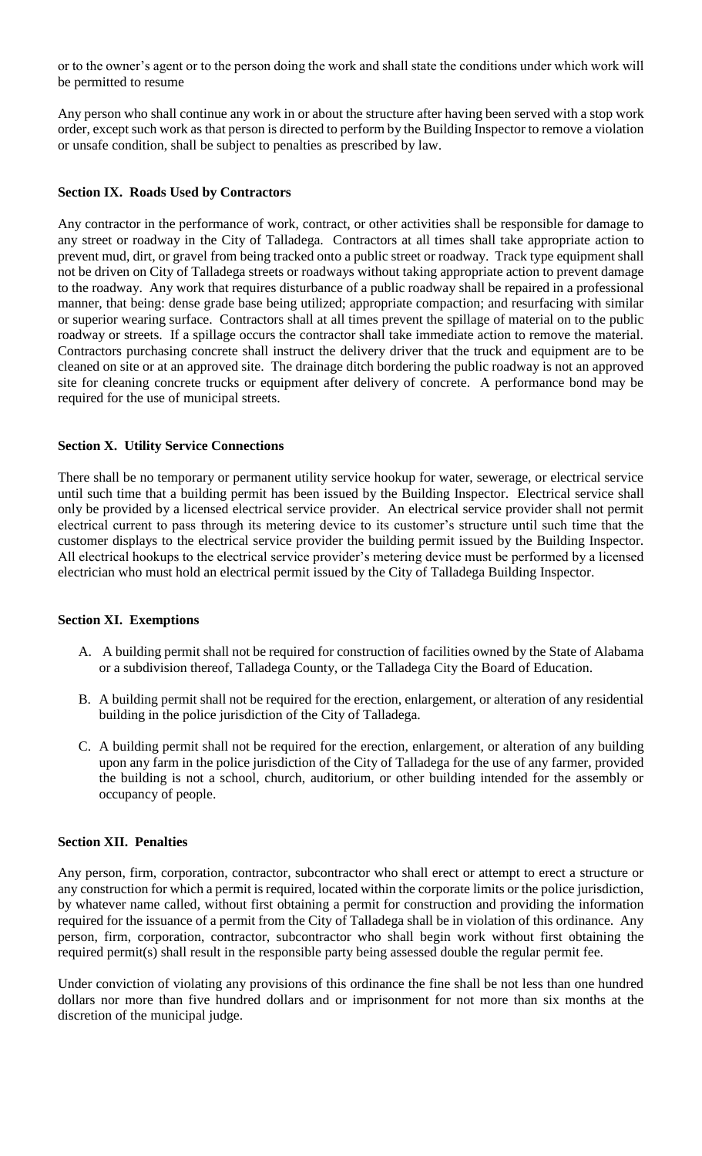or to the owner's agent or to the person doing the work and shall state the conditions under which work will be permitted to resume

Any person who shall continue any work in or about the structure after having been served with a stop work order, except such work as that person is directed to perform by the Building Inspector to remove a violation or unsafe condition, shall be subject to penalties as prescribed by law.

## **Section IX. Roads Used by Contractors**

Any contractor in the performance of work, contract, or other activities shall be responsible for damage to any street or roadway in the City of Talladega. Contractors at all times shall take appropriate action to prevent mud, dirt, or gravel from being tracked onto a public street or roadway. Track type equipment shall not be driven on City of Talladega streets or roadways without taking appropriate action to prevent damage to the roadway. Any work that requires disturbance of a public roadway shall be repaired in a professional manner, that being: dense grade base being utilized; appropriate compaction; and resurfacing with similar or superior wearing surface. Contractors shall at all times prevent the spillage of material on to the public roadway or streets. If a spillage occurs the contractor shall take immediate action to remove the material. Contractors purchasing concrete shall instruct the delivery driver that the truck and equipment are to be cleaned on site or at an approved site. The drainage ditch bordering the public roadway is not an approved site for cleaning concrete trucks or equipment after delivery of concrete. A performance bond may be required for the use of municipal streets.

## **Section X. Utility Service Connections**

There shall be no temporary or permanent utility service hookup for water, sewerage, or electrical service until such time that a building permit has been issued by the Building Inspector. Electrical service shall only be provided by a licensed electrical service provider. An electrical service provider shall not permit electrical current to pass through its metering device to its customer's structure until such time that the customer displays to the electrical service provider the building permit issued by the Building Inspector. All electrical hookups to the electrical service provider's metering device must be performed by a licensed electrician who must hold an electrical permit issued by the City of Talladega Building Inspector.

### **Section XI. Exemptions**

- A. A building permit shall not be required for construction of facilities owned by the State of Alabama or a subdivision thereof, Talladega County, or the Talladega City the Board of Education.
- B. A building permit shall not be required for the erection, enlargement, or alteration of any residential building in the police jurisdiction of the City of Talladega.
- C. A building permit shall not be required for the erection, enlargement, or alteration of any building upon any farm in the police jurisdiction of the City of Talladega for the use of any farmer, provided the building is not a school, church, auditorium, or other building intended for the assembly or occupancy of people.

### **Section XII. Penalties**

Any person, firm, corporation, contractor, subcontractor who shall erect or attempt to erect a structure or any construction for which a permit is required, located within the corporate limits or the police jurisdiction, by whatever name called, without first obtaining a permit for construction and providing the information required for the issuance of a permit from the City of Talladega shall be in violation of this ordinance. Any person, firm, corporation, contractor, subcontractor who shall begin work without first obtaining the required permit(s) shall result in the responsible party being assessed double the regular permit fee.

Under conviction of violating any provisions of this ordinance the fine shall be not less than one hundred dollars nor more than five hundred dollars and or imprisonment for not more than six months at the discretion of the municipal judge.